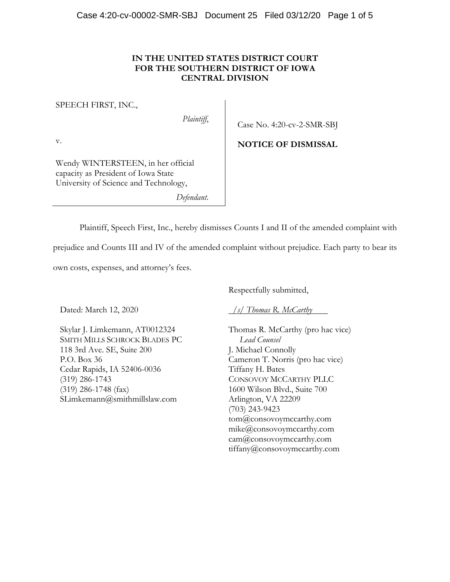## **IN THE UNITED STATES DISTRICT COURT FOR THE SOUTHERN DISTRICT OF IOWA CENTRAL DIVISION**

#### SPEECH FIRST, INC.,

*Plaintiff*,

Case No. 4:20-cv-2-SMR-SBJ

**NOTICE OF DISMISSAL**

v.

Wendy WINTERSTEEN, in her official capacity as President of Iowa State University of Science and Technology,

*Defendant*.

Plaintiff, Speech First, Inc., hereby dismisses Counts I and II of the amended complaint with

prejudice and Counts III and IV of the amended complaint without prejudice. Each party to bear its

own costs, expenses, and attorney's fees.

Dated: March 12, 2020

Skylar J. Limkemann, AT0012324 SMITH MILLS SCHROCK BLADES PC 118 3rd Ave. SE, Suite 200 P.O. Box 36 Cedar Rapids, IA 52406-0036 (319) 286-1743 (319) 286-1748 (fax) SLimkemann@smithmillslaw.com

Respectfully submitted,

*/s/ Thomas R. McCarthy* 

Thomas R. McCarthy (pro hac vice) *Lead Counsel* J. Michael Connolly Cameron T. Norris (pro hac vice) Tiffany H. Bates CONSOVOY MCCARTHY PLLC 1600 Wilson Blvd., Suite 700 Arlington, VA 22209 (703) 243-9423 tom@consovoymccarthy.com mike@consovoymccarthy.com cam@consovoymccarthy.com tiffany@consovoymccarthy.com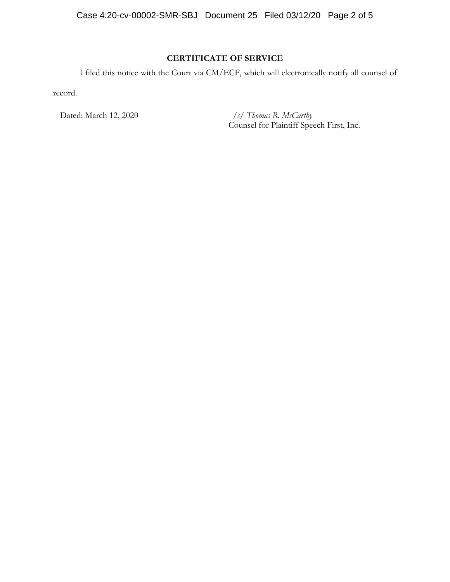Case 4:20-cv-00002-SMR-SBJ Document 25 Filed 03/12/20 Page 2 of 5

# **CERTIFICATE OF SERVICE**

I filed this notice with the Court via CM/ECF, which will electronically notify all counsel of

record.

Dated: March 12, 2020 */s/ Thomas R. McCarthy*  Counsel for Plaintiff Speech First, Inc.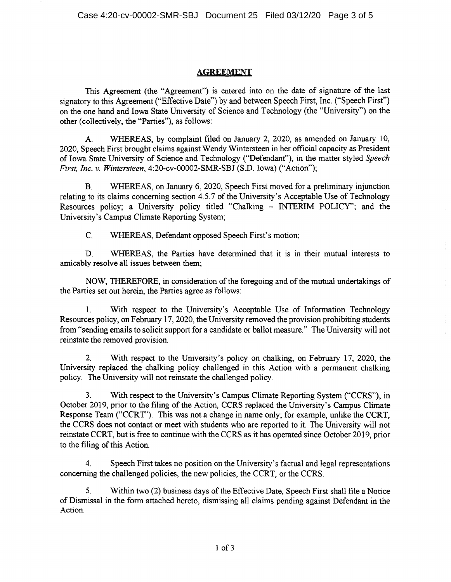## AGREEMENT

This Agreement (the "Agreement") is entered into on the date of signature of the last signatory to this Agreement ("Effective Date") by and between Speech First, Inc. ("Speech First") on the one hand and Iowa State University of Science and Technology (the "University") on the other (collectively, the "Parties"), as follows:

A. WHEREAS, by complaint filed on January 2, 2020, as amended on January 10, 2020, Speech First brought claims against Wendy Wintersteen in her official capacity as President of Iowa State University of Science and Technology ("Defendant"), in the matter styled *Speech First, Inc. v. Wintersteen,* 4:20-cv-00002-SMR-SBJ (S.D. Iowa) ("Action");

B. WHEREAS, on January 6, 2020, Speech First moved for a preliminary injunction relating to its claims concerning section 4.5.7 of the University's Acceptable Use of Technology Resources policy; a University policy titled "Chalking - INTERIM POLICY'; and the University's Campus Climate Reporting System;

C. WHEREAS, Defendant opposed Speech First's motion;

D. WHEREAS, the Parties have determined that it is in their mutual interests to amicably resolve all issues between them;

NOW, THEREFORE, in consideration of the foregoing and of the mutual undertakings of the Parties set out herein, the Parties agree as follows:

1. With respect to the University's Acceptable Use of Information Technology Resources policy, on February 17, 2020, the University removed the provision prohibiting students from "sending emails to solicit support for a candidate or ballot measure." The University will not reinstate the removed provision.

2. With respect to the University's policy on chalking, on February 17, 2020, the University replaced the chalking policy challenged in this Action with a permanent chalking policy. The University will not reinstate the challenged policy.

3. With respect to the University's Campus Climate Reporting System ("CCRS"), in October 2019, prior to the filing of the Action, CCRS replaced the University's Campus Climate Response Team ("CCRT"). This was not a change in name only; for example, unlike the CCRT, the CCRS does not contact or meet with students who are reported to it. The University will not reinstate CCRT, but is free to continue with the CCRS as it has operated since October 2019, prior to the filing of this Action.

4. Speech First takes no position on the University's factual and legal representations concerning the challenged policies, the new policies, the CCRT, or the CCRS.

5. Within two (2) business days of the Effective Date, Speech First shall file a Notice of Dismissal in the form attached hereto, dismissing all claims pending against Defendant in the Action.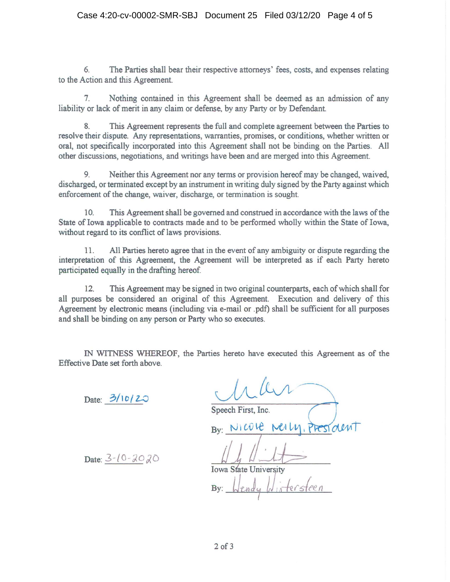## Case 4:20-cv-00002-SMR-SBJ Document 25 Filed 03/12/20 Page 4 of 5

6. The Parties shall bear their respective attorneys' fees, costs, and expenses relating to the Action and this Agreement.

7. Nothing contained in this Agreement shall be deemed as an admission of any liability or lack of merit in any claim or defense, by any Party or by Defendant.

8. This Agreement represents the full and complete agreement between the Parties to resolve their dispute. Any representations, warranties, promises, or conditions, whether written or oral, not specifically incorporated into this Agreement shall not be binding on the Parties. All other discussions, negotiations, and writings have been and are merged into this Agreement.

9. Neither this Agreement nor any terms or provision hereof may be changed, waived, discharged, or terminated except by an instrument in writing duly signed by the Party against which enforcement of the change, waiver, discharge, or termination is sought.

10. This Agreement shall be governed and construed in accordance with the laws of the State of Iowa applicable to contracts made and to be performed wholly within the State of Iowa, without regard to its conflict of laws provisions.

11. All Parties hereto agree that in the event of any ambiguity or dispute regarding the interpretation of this Agreement, the Agreement will be interpreted as if each Party hereto participated equally in the drafting hereof

12. This Agreement may be signed in two original counterparts, each of which shall for all purposes be considered an original of this Agreement. Execution and delivery of this Agreement by electronic means (including via e-mail or .pdf) shall be sufficient for all purposes and shall be binding on any person or Party who so executes.

IN WITNESS WHEREOF, the Parties hereto have executed this Agreement as of the Effective Date set forth above.

 $Date: 3/10/20$ 

Speech First, Inc.

 $Bv: N10012$  Mell

 $B_y: MweWH, PRS$ <br>Date:  $3-10-20$   $20$ <br>Iowa State University